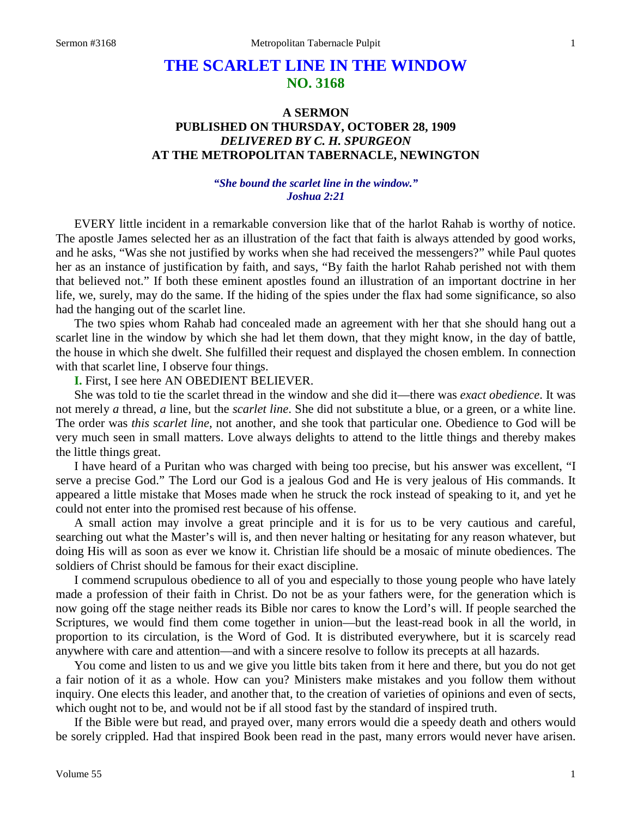# **THE SCARLET LINE IN THE WINDOW NO. 3168**

# **A SERMON PUBLISHED ON THURSDAY, OCTOBER 28, 1909** *DELIVERED BY C. H. SPURGEON* **AT THE METROPOLITAN TABERNACLE, NEWINGTON**

## *"She bound the scarlet line in the window." Joshua 2:21*

EVERY little incident in a remarkable conversion like that of the harlot Rahab is worthy of notice. The apostle James selected her as an illustration of the fact that faith is always attended by good works, and he asks, "Was she not justified by works when she had received the messengers?" while Paul quotes her as an instance of justification by faith, and says, "By faith the harlot Rahab perished not with them that believed not." If both these eminent apostles found an illustration of an important doctrine in her life, we, surely, may do the same. If the hiding of the spies under the flax had some significance, so also had the hanging out of the scarlet line.

The two spies whom Rahab had concealed made an agreement with her that she should hang out a scarlet line in the window by which she had let them down, that they might know, in the day of battle, the house in which she dwelt. She fulfilled their request and displayed the chosen emblem. In connection with that scarlet line, I observe four things.

**I.** First, I see here AN OBEDIENT BELIEVER.

She was told to tie the scarlet thread in the window and she did it—there was *exact obedience*. It was not merely *a* thread, *a* line, but the *scarlet line*. She did not substitute a blue, or a green, or a white line. The order was *this scarlet line*, not another, and she took that particular one. Obedience to God will be very much seen in small matters. Love always delights to attend to the little things and thereby makes the little things great.

I have heard of a Puritan who was charged with being too precise, but his answer was excellent, "I serve a precise God." The Lord our God is a jealous God and He is very jealous of His commands. It appeared a little mistake that Moses made when he struck the rock instead of speaking to it, and yet he could not enter into the promised rest because of his offense.

A small action may involve a great principle and it is for us to be very cautious and careful, searching out what the Master's will is, and then never halting or hesitating for any reason whatever, but doing His will as soon as ever we know it. Christian life should be a mosaic of minute obediences. The soldiers of Christ should be famous for their exact discipline.

I commend scrupulous obedience to all of you and especially to those young people who have lately made a profession of their faith in Christ. Do not be as your fathers were, for the generation which is now going off the stage neither reads its Bible nor cares to know the Lord's will. If people searched the Scriptures, we would find them come together in union—but the least-read book in all the world, in proportion to its circulation, is the Word of God. It is distributed everywhere, but it is scarcely read anywhere with care and attention—and with a sincere resolve to follow its precepts at all hazards.

You come and listen to us and we give you little bits taken from it here and there, but you do not get a fair notion of it as a whole. How can you? Ministers make mistakes and you follow them without inquiry. One elects this leader, and another that, to the creation of varieties of opinions and even of sects, which ought not to be, and would not be if all stood fast by the standard of inspired truth.

If the Bible were but read, and prayed over, many errors would die a speedy death and others would be sorely crippled. Had that inspired Book been read in the past, many errors would never have arisen.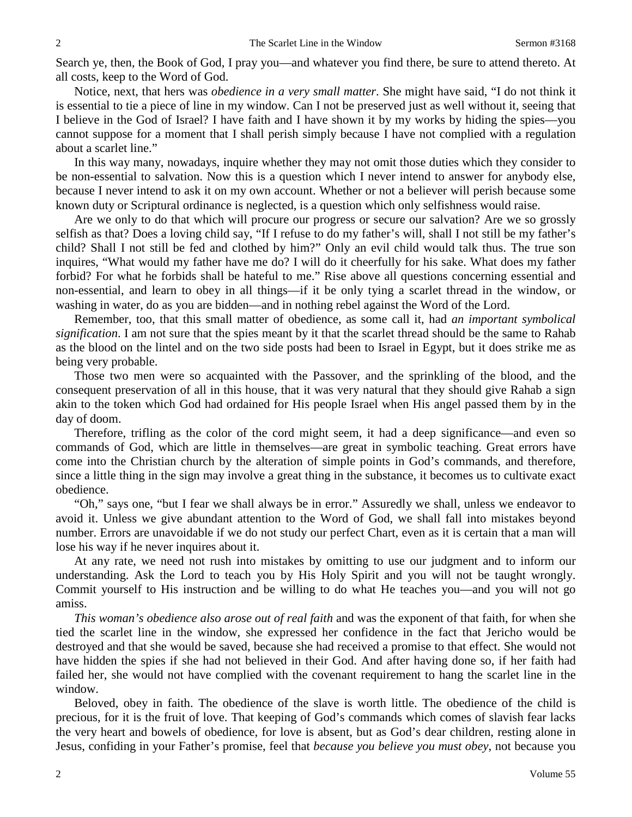Search ye, then, the Book of God, I pray you—and whatever you find there, be sure to attend thereto. At all costs, keep to the Word of God.

Notice, next, that hers was *obedience in a very small matter*. She might have said, "I do not think it is essential to tie a piece of line in my window. Can I not be preserved just as well without it, seeing that I believe in the God of Israel? I have faith and I have shown it by my works by hiding the spies—you cannot suppose for a moment that I shall perish simply because I have not complied with a regulation about a scarlet line."

In this way many, nowadays, inquire whether they may not omit those duties which they consider to be non-essential to salvation. Now this is a question which I never intend to answer for anybody else, because I never intend to ask it on my own account. Whether or not a believer will perish because some known duty or Scriptural ordinance is neglected, is a question which only selfishness would raise.

Are we only to do that which will procure our progress or secure our salvation? Are we so grossly selfish as that? Does a loving child say, "If I refuse to do my father's will, shall I not still be my father's child? Shall I not still be fed and clothed by him?" Only an evil child would talk thus. The true son inquires, "What would my father have me do? I will do it cheerfully for his sake. What does my father forbid? For what he forbids shall be hateful to me." Rise above all questions concerning essential and non-essential, and learn to obey in all things—if it be only tying a scarlet thread in the window, or washing in water, do as you are bidden—and in nothing rebel against the Word of the Lord.

Remember, too, that this small matter of obedience, as some call it, had *an important symbolical signification*. I am not sure that the spies meant by it that the scarlet thread should be the same to Rahab as the blood on the lintel and on the two side posts had been to Israel in Egypt, but it does strike me as being very probable.

Those two men were so acquainted with the Passover, and the sprinkling of the blood, and the consequent preservation of all in this house, that it was very natural that they should give Rahab a sign akin to the token which God had ordained for His people Israel when His angel passed them by in the day of doom.

Therefore, trifling as the color of the cord might seem, it had a deep significance—and even so commands of God, which are little in themselves—are great in symbolic teaching. Great errors have come into the Christian church by the alteration of simple points in God's commands, and therefore, since a little thing in the sign may involve a great thing in the substance, it becomes us to cultivate exact obedience.

"Oh," says one, "but I fear we shall always be in error." Assuredly we shall, unless we endeavor to avoid it. Unless we give abundant attention to the Word of God, we shall fall into mistakes beyond number. Errors are unavoidable if we do not study our perfect Chart, even as it is certain that a man will lose his way if he never inquires about it.

At any rate, we need not rush into mistakes by omitting to use our judgment and to inform our understanding. Ask the Lord to teach you by His Holy Spirit and you will not be taught wrongly. Commit yourself to His instruction and be willing to do what He teaches you—and you will not go amiss.

*This woman's obedience also arose out of real faith* and was the exponent of that faith, for when she tied the scarlet line in the window, she expressed her confidence in the fact that Jericho would be destroyed and that she would be saved, because she had received a promise to that effect. She would not have hidden the spies if she had not believed in their God. And after having done so, if her faith had failed her, she would not have complied with the covenant requirement to hang the scarlet line in the window.

Beloved, obey in faith. The obedience of the slave is worth little. The obedience of the child is precious, for it is the fruit of love. That keeping of God's commands which comes of slavish fear lacks the very heart and bowels of obedience, for love is absent, but as God's dear children, resting alone in Jesus, confiding in your Father's promise, feel that *because you believe you must obey*, not because you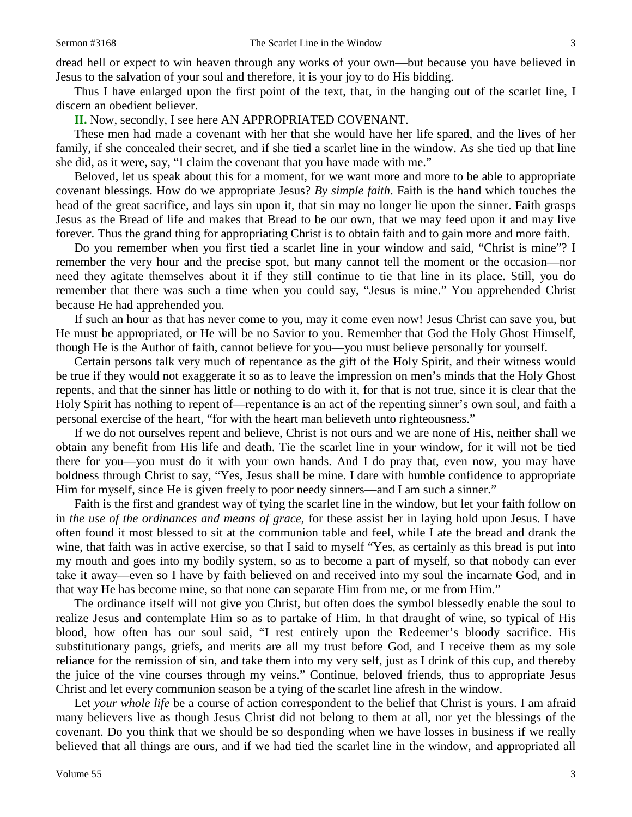dread hell or expect to win heaven through any works of your own—but because you have believed in Jesus to the salvation of your soul and therefore, it is your joy to do His bidding.

Thus I have enlarged upon the first point of the text, that, in the hanging out of the scarlet line, I discern an obedient believer.

#### **II.** Now, secondly, I see here AN APPROPRIATED COVENANT.

These men had made a covenant with her that she would have her life spared, and the lives of her family, if she concealed their secret, and if she tied a scarlet line in the window. As she tied up that line she did, as it were, say, "I claim the covenant that you have made with me."

Beloved, let us speak about this for a moment, for we want more and more to be able to appropriate covenant blessings. How do we appropriate Jesus? *By simple faith*. Faith is the hand which touches the head of the great sacrifice, and lays sin upon it, that sin may no longer lie upon the sinner. Faith grasps Jesus as the Bread of life and makes that Bread to be our own, that we may feed upon it and may live forever. Thus the grand thing for appropriating Christ is to obtain faith and to gain more and more faith.

Do you remember when you first tied a scarlet line in your window and said, "Christ is mine"? I remember the very hour and the precise spot, but many cannot tell the moment or the occasion—nor need they agitate themselves about it if they still continue to tie that line in its place. Still, you do remember that there was such a time when you could say, "Jesus is mine." You apprehended Christ because He had apprehended you.

If such an hour as that has never come to you, may it come even now! Jesus Christ can save you, but He must be appropriated, or He will be no Savior to you. Remember that God the Holy Ghost Himself, though He is the Author of faith, cannot believe for you—you must believe personally for yourself.

Certain persons talk very much of repentance as the gift of the Holy Spirit, and their witness would be true if they would not exaggerate it so as to leave the impression on men's minds that the Holy Ghost repents, and that the sinner has little or nothing to do with it, for that is not true, since it is clear that the Holy Spirit has nothing to repent of—repentance is an act of the repenting sinner's own soul, and faith a personal exercise of the heart, "for with the heart man believeth unto righteousness."

If we do not ourselves repent and believe, Christ is not ours and we are none of His, neither shall we obtain any benefit from His life and death. Tie the scarlet line in your window, for it will not be tied there for you—you must do it with your own hands. And I do pray that, even now, you may have boldness through Christ to say, "Yes, Jesus shall be mine. I dare with humble confidence to appropriate Him for myself, since He is given freely to poor needy sinners—and I am such a sinner."

Faith is the first and grandest way of tying the scarlet line in the window, but let your faith follow on in *the use of the ordinances and means of grace*, for these assist her in laying hold upon Jesus. I have often found it most blessed to sit at the communion table and feel, while I ate the bread and drank the wine, that faith was in active exercise, so that I said to myself "Yes, as certainly as this bread is put into my mouth and goes into my bodily system, so as to become a part of myself, so that nobody can ever take it away—even so I have by faith believed on and received into my soul the incarnate God, and in that way He has become mine, so that none can separate Him from me, or me from Him."

The ordinance itself will not give you Christ, but often does the symbol blessedly enable the soul to realize Jesus and contemplate Him so as to partake of Him. In that draught of wine, so typical of His blood, how often has our soul said, "I rest entirely upon the Redeemer's bloody sacrifice. His substitutionary pangs, griefs, and merits are all my trust before God, and I receive them as my sole reliance for the remission of sin, and take them into my very self, just as I drink of this cup, and thereby the juice of the vine courses through my veins." Continue, beloved friends, thus to appropriate Jesus Christ and let every communion season be a tying of the scarlet line afresh in the window.

Let *your whole life* be a course of action correspondent to the belief that Christ is yours. I am afraid many believers live as though Jesus Christ did not belong to them at all, nor yet the blessings of the covenant. Do you think that we should be so desponding when we have losses in business if we really believed that all things are ours, and if we had tied the scarlet line in the window, and appropriated all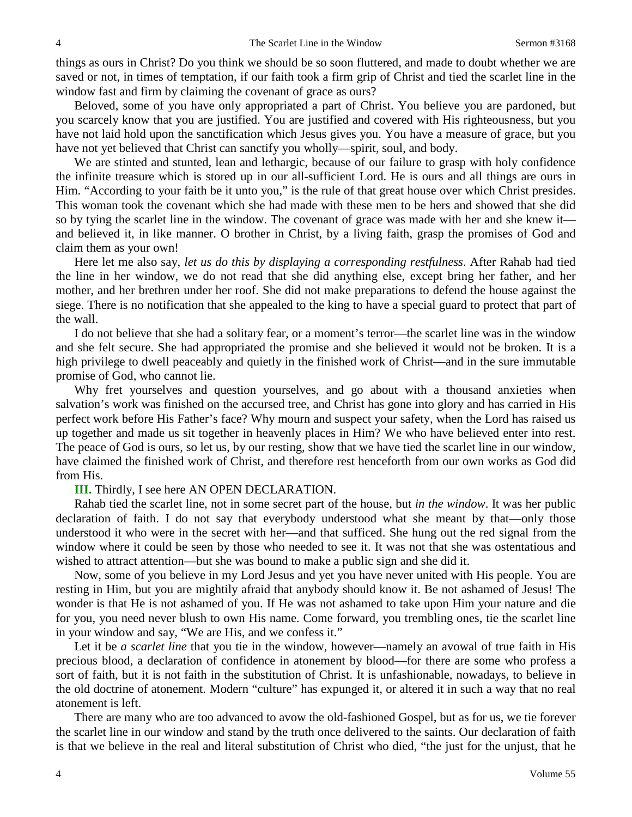things as ours in Christ? Do you think we should be so soon fluttered, and made to doubt whether we are saved or not, in times of temptation, if our faith took a firm grip of Christ and tied the scarlet line in the window fast and firm by claiming the covenant of grace as ours?

Beloved, some of you have only appropriated a part of Christ. You believe you are pardoned, but you scarcely know that you are justified. You are justified and covered with His righteousness, but you have not laid hold upon the sanctification which Jesus gives you. You have a measure of grace, but you have not yet believed that Christ can sanctify you wholly—spirit, soul, and body.

We are stinted and stunted, lean and lethargic, because of our failure to grasp with holy confidence the infinite treasure which is stored up in our all-sufficient Lord. He is ours and all things are ours in Him. "According to your faith be it unto you," is the rule of that great house over which Christ presides. This woman took the covenant which she had made with these men to be hers and showed that she did so by tying the scarlet line in the window. The covenant of grace was made with her and she knew it and believed it, in like manner. O brother in Christ, by a living faith, grasp the promises of God and claim them as your own!

Here let me also say, *let us do this by displaying a corresponding restfulness*. After Rahab had tied the line in her window, we do not read that she did anything else, except bring her father, and her mother, and her brethren under her roof. She did not make preparations to defend the house against the siege. There is no notification that she appealed to the king to have a special guard to protect that part of the wall.

I do not believe that she had a solitary fear, or a moment's terror—the scarlet line was in the window and she felt secure. She had appropriated the promise and she believed it would not be broken. It is a high privilege to dwell peaceably and quietly in the finished work of Christ—and in the sure immutable promise of God, who cannot lie.

Why fret yourselves and question yourselves, and go about with a thousand anxieties when salvation's work was finished on the accursed tree, and Christ has gone into glory and has carried in His perfect work before His Father's face? Why mourn and suspect your safety, when the Lord has raised us up together and made us sit together in heavenly places in Him? We who have believed enter into rest. The peace of God is ours, so let us, by our resting, show that we have tied the scarlet line in our window, have claimed the finished work of Christ, and therefore rest henceforth from our own works as God did from His.

#### **III.** Thirdly, I see here AN OPEN DECLARATION.

Rahab tied the scarlet line, not in some secret part of the house, but *in the window*. It was her public declaration of faith. I do not say that everybody understood what she meant by that—only those understood it who were in the secret with her—and that sufficed. She hung out the red signal from the window where it could be seen by those who needed to see it. It was not that she was ostentatious and wished to attract attention—but she was bound to make a public sign and she did it.

Now, some of you believe in my Lord Jesus and yet you have never united with His people. You are resting in Him, but you are mightily afraid that anybody should know it. Be not ashamed of Jesus! The wonder is that He is not ashamed of you. If He was not ashamed to take upon Him your nature and die for you, you need never blush to own His name. Come forward, you trembling ones, tie the scarlet line in your window and say, "We are His, and we confess it."

Let it be *a scarlet line* that you tie in the window, however—namely an avowal of true faith in His precious blood, a declaration of confidence in atonement by blood—for there are some who profess a sort of faith, but it is not faith in the substitution of Christ. It is unfashionable, nowadays, to believe in the old doctrine of atonement. Modern "culture" has expunged it, or altered it in such a way that no real atonement is left.

There are many who are too advanced to avow the old-fashioned Gospel, but as for us, we tie forever the scarlet line in our window and stand by the truth once delivered to the saints. Our declaration of faith is that we believe in the real and literal substitution of Christ who died, "the just for the unjust, that he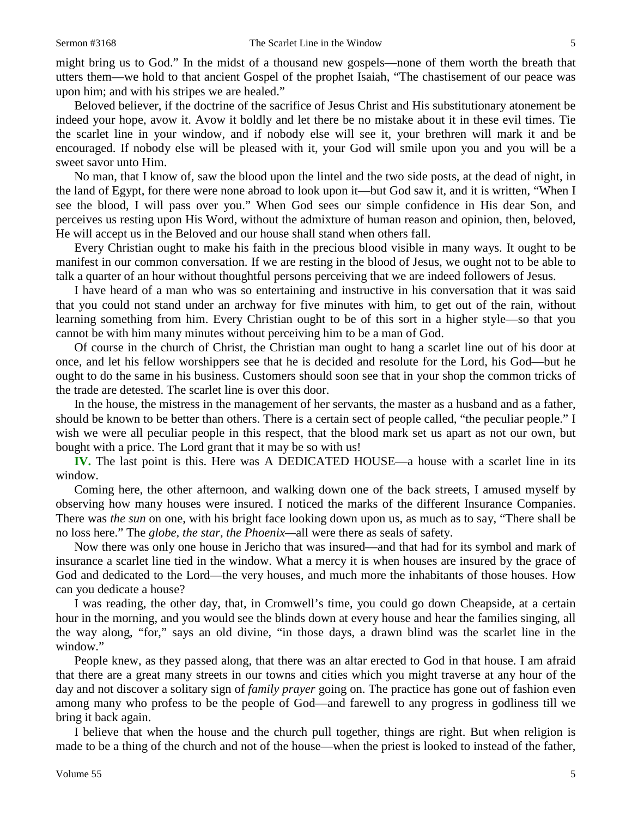might bring us to God." In the midst of a thousand new gospels—none of them worth the breath that utters them—we hold to that ancient Gospel of the prophet Isaiah, "The chastisement of our peace was upon him; and with his stripes we are healed."

Beloved believer, if the doctrine of the sacrifice of Jesus Christ and His substitutionary atonement be indeed your hope, avow it. Avow it boldly and let there be no mistake about it in these evil times. Tie the scarlet line in your window, and if nobody else will see it, your brethren will mark it and be encouraged. If nobody else will be pleased with it, your God will smile upon you and you will be a sweet savor unto Him.

No man, that I know of, saw the blood upon the lintel and the two side posts, at the dead of night, in the land of Egypt, for there were none abroad to look upon it—but God saw it, and it is written, "When I see the blood, I will pass over you." When God sees our simple confidence in His dear Son, and perceives us resting upon His Word, without the admixture of human reason and opinion, then, beloved, He will accept us in the Beloved and our house shall stand when others fall.

Every Christian ought to make his faith in the precious blood visible in many ways. It ought to be manifest in our common conversation. If we are resting in the blood of Jesus, we ought not to be able to talk a quarter of an hour without thoughtful persons perceiving that we are indeed followers of Jesus.

I have heard of a man who was so entertaining and instructive in his conversation that it was said that you could not stand under an archway for five minutes with him, to get out of the rain, without learning something from him. Every Christian ought to be of this sort in a higher style—so that you cannot be with him many minutes without perceiving him to be a man of God.

Of course in the church of Christ, the Christian man ought to hang a scarlet line out of his door at once, and let his fellow worshippers see that he is decided and resolute for the Lord, his God—but he ought to do the same in his business. Customers should soon see that in your shop the common tricks of the trade are detested. The scarlet line is over this door.

In the house, the mistress in the management of her servants, the master as a husband and as a father, should be known to be better than others. There is a certain sect of people called, "the peculiar people." I wish we were all peculiar people in this respect, that the blood mark set us apart as not our own, but bought with a price. The Lord grant that it may be so with us!

**IV.** The last point is this. Here was A DEDICATED HOUSE—a house with a scarlet line in its window.

Coming here, the other afternoon, and walking down one of the back streets, I amused myself by observing how many houses were insured. I noticed the marks of the different Insurance Companies. There was *the sun* on one, with his bright face looking down upon us, as much as to say, "There shall be no loss here." The *globe, the star, the Phoenix—*all were there as seals of safety.

Now there was only one house in Jericho that was insured—and that had for its symbol and mark of insurance a scarlet line tied in the window. What a mercy it is when houses are insured by the grace of God and dedicated to the Lord—the very houses, and much more the inhabitants of those houses. How can you dedicate a house?

I was reading, the other day, that, in Cromwell's time, you could go down Cheapside, at a certain hour in the morning, and you would see the blinds down at every house and hear the families singing, all the way along, "for," says an old divine, "in those days, a drawn blind was the scarlet line in the window."

People knew, as they passed along, that there was an altar erected to God in that house. I am afraid that there are a great many streets in our towns and cities which you might traverse at any hour of the day and not discover a solitary sign of *family prayer* going on. The practice has gone out of fashion even among many who profess to be the people of God—and farewell to any progress in godliness till we bring it back again.

I believe that when the house and the church pull together, things are right. But when religion is made to be a thing of the church and not of the house—when the priest is looked to instead of the father,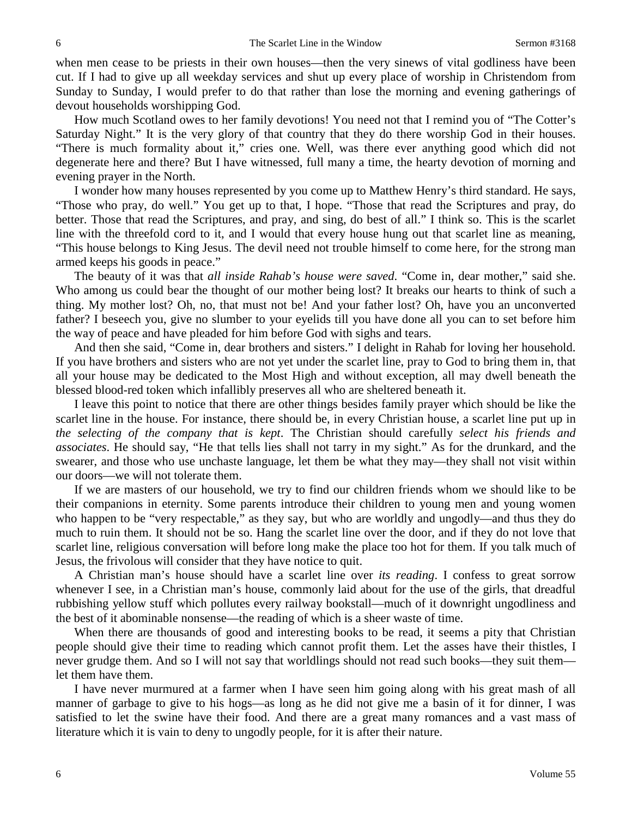when men cease to be priests in their own houses—then the very sinews of vital godliness have been cut. If I had to give up all weekday services and shut up every place of worship in Christendom from Sunday to Sunday, I would prefer to do that rather than lose the morning and evening gatherings of devout households worshipping God.

How much Scotland owes to her family devotions! You need not that I remind you of "The Cotter's Saturday Night." It is the very glory of that country that they do there worship God in their houses. "There is much formality about it," cries one. Well, was there ever anything good which did not degenerate here and there? But I have witnessed, full many a time, the hearty devotion of morning and evening prayer in the North.

I wonder how many houses represented by you come up to Matthew Henry's third standard. He says, "Those who pray, do well." You get up to that, I hope. "Those that read the Scriptures and pray, do better. Those that read the Scriptures, and pray, and sing, do best of all." I think so. This is the scarlet line with the threefold cord to it, and I would that every house hung out that scarlet line as meaning, "This house belongs to King Jesus. The devil need not trouble himself to come here, for the strong man armed keeps his goods in peace."

The beauty of it was that *all inside Rahab's house were saved*. "Come in, dear mother," said she. Who among us could bear the thought of our mother being lost? It breaks our hearts to think of such a thing. My mother lost? Oh, no, that must not be! And your father lost? Oh, have you an unconverted father? I beseech you, give no slumber to your eyelids till you have done all you can to set before him the way of peace and have pleaded for him before God with sighs and tears.

And then she said, "Come in, dear brothers and sisters." I delight in Rahab for loving her household. If you have brothers and sisters who are not yet under the scarlet line, pray to God to bring them in, that all your house may be dedicated to the Most High and without exception, all may dwell beneath the blessed blood-red token which infallibly preserves all who are sheltered beneath it.

I leave this point to notice that there are other things besides family prayer which should be like the scarlet line in the house. For instance, there should be, in every Christian house, a scarlet line put up in *the selecting of the company that is kept*. The Christian should carefully *select his friends and associates*. He should say, "He that tells lies shall not tarry in my sight." As for the drunkard, and the swearer, and those who use unchaste language, let them be what they may—they shall not visit within our doors—we will not tolerate them.

If we are masters of our household, we try to find our children friends whom we should like to be their companions in eternity. Some parents introduce their children to young men and young women who happen to be "very respectable," as they say, but who are worldly and ungodly—and thus they do much to ruin them. It should not be so. Hang the scarlet line over the door, and if they do not love that scarlet line, religious conversation will before long make the place too hot for them. If you talk much of Jesus, the frivolous will consider that they have notice to quit.

A Christian man's house should have a scarlet line over *its reading*. I confess to great sorrow whenever I see, in a Christian man's house, commonly laid about for the use of the girls, that dreadful rubbishing yellow stuff which pollutes every railway bookstall—much of it downright ungodliness and the best of it abominable nonsense—the reading of which is a sheer waste of time.

When there are thousands of good and interesting books to be read, it seems a pity that Christian people should give their time to reading which cannot profit them. Let the asses have their thistles, I never grudge them. And so I will not say that worldlings should not read such books—they suit them let them have them.

I have never murmured at a farmer when I have seen him going along with his great mash of all manner of garbage to give to his hogs—as long as he did not give me a basin of it for dinner, I was satisfied to let the swine have their food. And there are a great many romances and a vast mass of literature which it is vain to deny to ungodly people, for it is after their nature.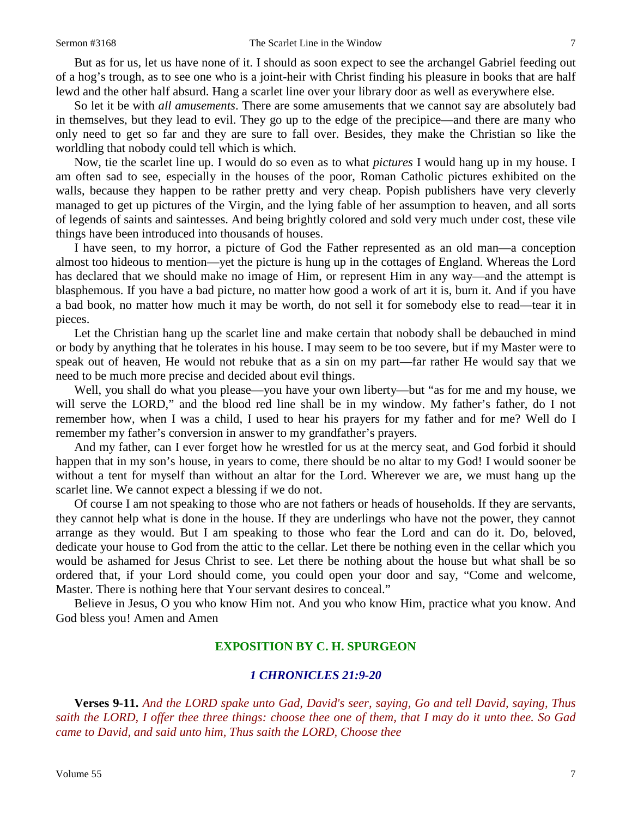But as for us, let us have none of it. I should as soon expect to see the archangel Gabriel feeding out of a hog's trough, as to see one who is a joint-heir with Christ finding his pleasure in books that are half lewd and the other half absurd. Hang a scarlet line over your library door as well as everywhere else.

So let it be with *all amusements*. There are some amusements that we cannot say are absolutely bad in themselves, but they lead to evil. They go up to the edge of the precipice—and there are many who only need to get so far and they are sure to fall over. Besides, they make the Christian so like the worldling that nobody could tell which is which.

Now, tie the scarlet line up. I would do so even as to what *pictures* I would hang up in my house. I am often sad to see, especially in the houses of the poor, Roman Catholic pictures exhibited on the walls, because they happen to be rather pretty and very cheap. Popish publishers have very cleverly managed to get up pictures of the Virgin, and the lying fable of her assumption to heaven, and all sorts of legends of saints and saintesses. And being brightly colored and sold very much under cost, these vile things have been introduced into thousands of houses.

I have seen, to my horror, a picture of God the Father represented as an old man—a conception almost too hideous to mention—yet the picture is hung up in the cottages of England. Whereas the Lord has declared that we should make no image of Him, or represent Him in any way—and the attempt is blasphemous. If you have a bad picture, no matter how good a work of art it is, burn it. And if you have a bad book, no matter how much it may be worth, do not sell it for somebody else to read—tear it in pieces.

Let the Christian hang up the scarlet line and make certain that nobody shall be debauched in mind or body by anything that he tolerates in his house. I may seem to be too severe, but if my Master were to speak out of heaven, He would not rebuke that as a sin on my part—far rather He would say that we need to be much more precise and decided about evil things.

Well, you shall do what you please—you have your own liberty—but "as for me and my house, we will serve the LORD," and the blood red line shall be in my window. My father's father, do I not remember how, when I was a child, I used to hear his prayers for my father and for me? Well do I remember my father's conversion in answer to my grandfather's prayers.

And my father, can I ever forget how he wrestled for us at the mercy seat, and God forbid it should happen that in my son's house, in years to come, there should be no altar to my God! I would sooner be without a tent for myself than without an altar for the Lord. Wherever we are, we must hang up the scarlet line. We cannot expect a blessing if we do not.

Of course I am not speaking to those who are not fathers or heads of households. If they are servants, they cannot help what is done in the house. If they are underlings who have not the power, they cannot arrange as they would. But I am speaking to those who fear the Lord and can do it. Do, beloved, dedicate your house to God from the attic to the cellar. Let there be nothing even in the cellar which you would be ashamed for Jesus Christ to see. Let there be nothing about the house but what shall be so ordered that, if your Lord should come, you could open your door and say, "Come and welcome, Master. There is nothing here that Your servant desires to conceal."

Believe in Jesus, O you who know Him not. And you who know Him, practice what you know. And God bless you! Amen and Amen

### **EXPOSITION BY C. H. SPURGEON**

#### *1 CHRONICLES 21:9-20*

**Verses 9-11.** *And the LORD spake unto Gad, David's seer, saying, Go and tell David, saying, Thus saith the LORD, I offer thee three things: choose thee one of them, that I may do it unto thee. So Gad came to David, and said unto him, Thus saith the LORD, Choose thee*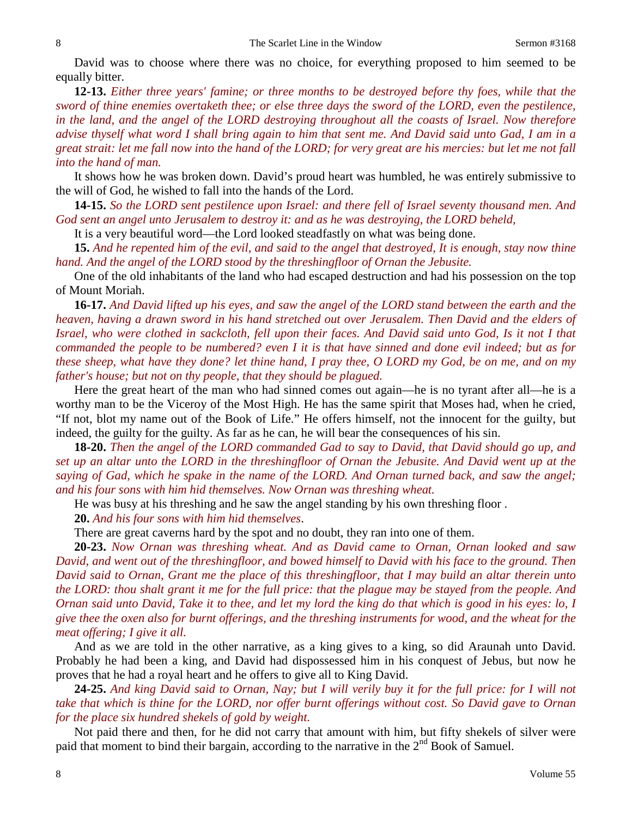David was to choose where there was no choice, for everything proposed to him seemed to be equally bitter.

**12-13.** *Either three years' famine; or three months to be destroyed before thy foes, while that the sword of thine enemies overtaketh thee; or else three days the sword of the LORD, even the pestilence, in the land, and the angel of the LORD destroying throughout all the coasts of Israel. Now therefore advise thyself what word I shall bring again to him that sent me. And David said unto Gad, I am in a great strait: let me fall now into the hand of the LORD; for very great are his mercies: but let me not fall into the hand of man.*

It shows how he was broken down. David's proud heart was humbled, he was entirely submissive to the will of God, he wished to fall into the hands of the Lord.

**14-15.** *So the LORD sent pestilence upon Israel: and there fell of Israel seventy thousand men. And God sent an angel unto Jerusalem to destroy it: and as he was destroying, the LORD beheld,*

It is a very beautiful word—the Lord looked steadfastly on what was being done.

**15.** *And he repented him of the evil, and said to the angel that destroyed, It is enough, stay now thine hand. And the angel of the LORD stood by the threshingfloor of Ornan the Jebusite.*

One of the old inhabitants of the land who had escaped destruction and had his possession on the top of Mount Moriah.

**16-17.** *And David lifted up his eyes, and saw the angel of the LORD stand between the earth and the heaven, having a drawn sword in his hand stretched out over Jerusalem. Then David and the elders of Israel, who were clothed in sackcloth, fell upon their faces. And David said unto God, Is it not I that commanded the people to be numbered? even I it is that have sinned and done evil indeed; but as for these sheep, what have they done? let thine hand, I pray thee, O LORD my God, be on me, and on my father's house; but not on thy people, that they should be plagued.*

Here the great heart of the man who had sinned comes out again—he is no tyrant after all—he is a worthy man to be the Viceroy of the Most High. He has the same spirit that Moses had, when he cried, "If not, blot my name out of the Book of Life." He offers himself, not the innocent for the guilty, but indeed, the guilty for the guilty. As far as he can, he will bear the consequences of his sin.

**18-20.** *Then the angel of the LORD commanded Gad to say to David, that David should go up, and set up an altar unto the LORD in the threshingfloor of Ornan the Jebusite. And David went up at the saying of Gad, which he spake in the name of the LORD. And Ornan turned back, and saw the angel; and his four sons with him hid themselves. Now Ornan was threshing wheat.*

He was busy at his threshing and he saw the angel standing by his own threshing floor .

**20.** *And his four sons with him hid themselves*.

There are great caverns hard by the spot and no doubt, they ran into one of them.

**20-23.** *Now Ornan was threshing wheat. And as David came to Ornan, Ornan looked and saw David, and went out of the threshingfloor, and bowed himself to David with his face to the ground. Then David said to Ornan, Grant me the place of this threshingfloor, that I may build an altar therein unto the LORD: thou shalt grant it me for the full price: that the plague may be stayed from the people. And Ornan said unto David, Take it to thee, and let my lord the king do that which is good in his eyes: lo, I give thee the oxen also for burnt offerings, and the threshing instruments for wood, and the wheat for the meat offering; I give it all.*

And as we are told in the other narrative, as a king gives to a king, so did Araunah unto David. Probably he had been a king, and David had dispossessed him in his conquest of Jebus, but now he proves that he had a royal heart and he offers to give all to King David.

**24-25.** *And king David said to Ornan, Nay; but I will verily buy it for the full price: for I will not take that which is thine for the LORD, nor offer burnt offerings without cost. So David gave to Ornan for the place six hundred shekels of gold by weight.*

Not paid there and then, for he did not carry that amount with him, but fifty shekels of silver were paid that moment to bind their bargain, according to the narrative in the  $2<sup>nd</sup>$  Book of Samuel.